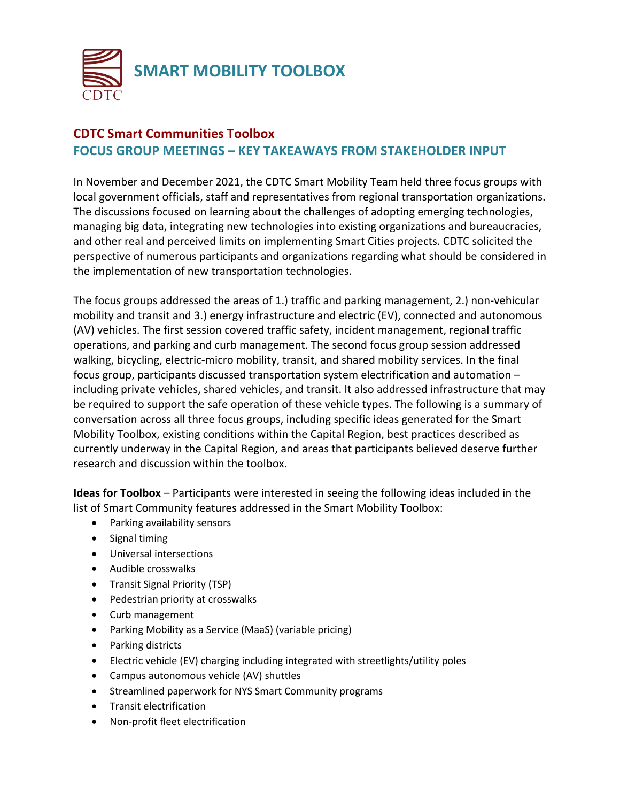

## **CDTC Smart Communities Toolbox FOCUS GROUP MEETINGS – KEY TAKEAWAYS FROM STAKEHOLDER INPUT**

In November and December 2021, the CDTC Smart Mobility Team held three focus groups with local government officials, staff and representatives from regional transportation organizations. The discussions focused on learning about the challenges of adopting emerging technologies, managing big data, integrating new technologies into existing organizations and bureaucracies, and other real and perceived limits on implementing Smart Cities projects. CDTC solicited the perspective of numerous participants and organizations regarding what should be considered in the implementation of new transportation technologies.

The focus groups addressed the areas of 1.) traffic and parking management, 2.) non-vehicular mobility and transit and 3.) energy infrastructure and electric (EV), connected and autonomous (AV) vehicles. The first session covered traffic safety, incident management, regional traffic operations, and parking and curb management. The second focus group session addressed walking, bicycling, electric-micro mobility, transit, and shared mobility services. In the final focus group, participants discussed transportation system electrification and automation – including private vehicles, shared vehicles, and transit. It also addressed infrastructure that may be required to support the safe operation of these vehicle types. The following is a summary of conversation across all three focus groups, including specific ideas generated for the Smart Mobility Toolbox, existing conditions within the Capital Region, best practices described as currently underway in the Capital Region, and areas that participants believed deserve further research and discussion within the toolbox.

**Ideas for Toolbox** – Participants were interested in seeing the following ideas included in the list of Smart Community features addressed in the Smart Mobility Toolbox:

- Parking availability sensors
- Signal timing
- Universal intersections
- Audible crosswalks
- Transit Signal Priority (TSP)
- Pedestrian priority at crosswalks
- Curb management
- Parking Mobility as a Service (MaaS) (variable pricing)
- Parking districts
- Electric vehicle (EV) charging including integrated with streetlights/utility poles
- Campus autonomous vehicle (AV) shuttles
- Streamlined paperwork for NYS Smart Community programs
- Transit electrification
- Non-profit fleet electrification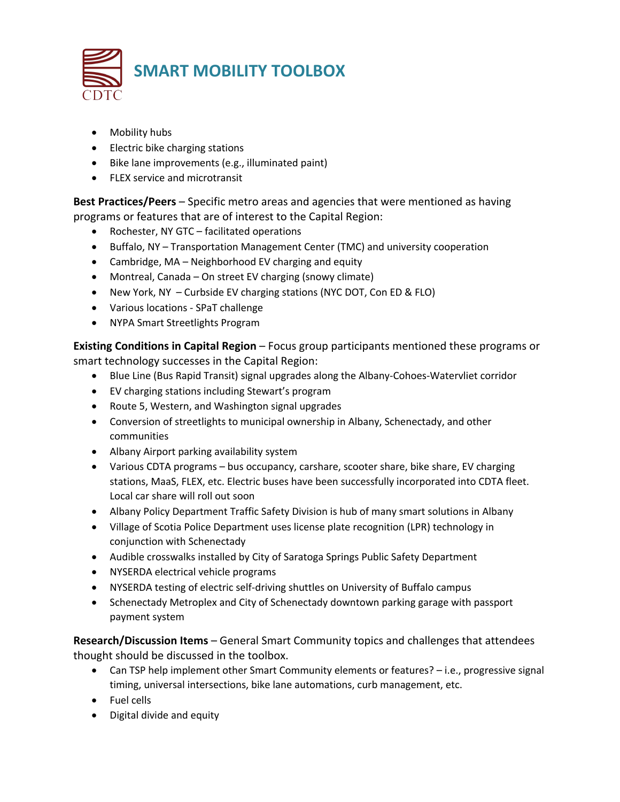

- Mobility hubs
- Electric bike charging stations
- Bike lane improvements (e.g., illuminated paint)
- FLEX service and microtransit

**Best Practices/Peers** – Specific metro areas and agencies that were mentioned as having programs or features that are of interest to the Capital Region:

- Rochester, NY GTC facilitated operations
- Buffalo, NY Transportation Management Center (TMC) and university cooperation
- Cambridge, MA Neighborhood EV charging and equity
- Montreal, Canada On street EV charging (snowy climate)
- New York, NY Curbside EV charging stations (NYC DOT, Con ED & FLO)
- Various locations SPaT challenge
- NYPA Smart Streetlights Program

**Existing Conditions in Capital Region** – Focus group participants mentioned these programs or smart technology successes in the Capital Region:

- Blue Line (Bus Rapid Transit) signal upgrades along the Albany-Cohoes-Watervliet corridor
- EV charging stations including Stewart's program
- Route 5, Western, and Washington signal upgrades
- Conversion of streetlights to municipal ownership in Albany, Schenectady, and other communities
- Albany Airport parking availability system
- Various CDTA programs bus occupancy, carshare, scooter share, bike share, EV charging stations, MaaS, FLEX, etc. Electric buses have been successfully incorporated into CDTA fleet. Local car share will roll out soon
- Albany Policy Department Traffic Safety Division is hub of many smart solutions in Albany
- Village of Scotia Police Department uses license plate recognition (LPR) technology in conjunction with Schenectady
- Audible crosswalks installed by City of Saratoga Springs Public Safety Department
- NYSERDA electrical vehicle programs
- NYSERDA testing of electric self-driving shuttles on University of Buffalo campus
- Schenectady Metroplex and City of Schenectady downtown parking garage with passport payment system

**Research/Discussion Items** – General Smart Community topics and challenges that attendees thought should be discussed in the toolbox.

- Can TSP help implement other Smart Community elements or features? i.e., progressive signal timing, universal intersections, bike lane automations, curb management, etc.
- Fuel cells
- Digital divide and equity